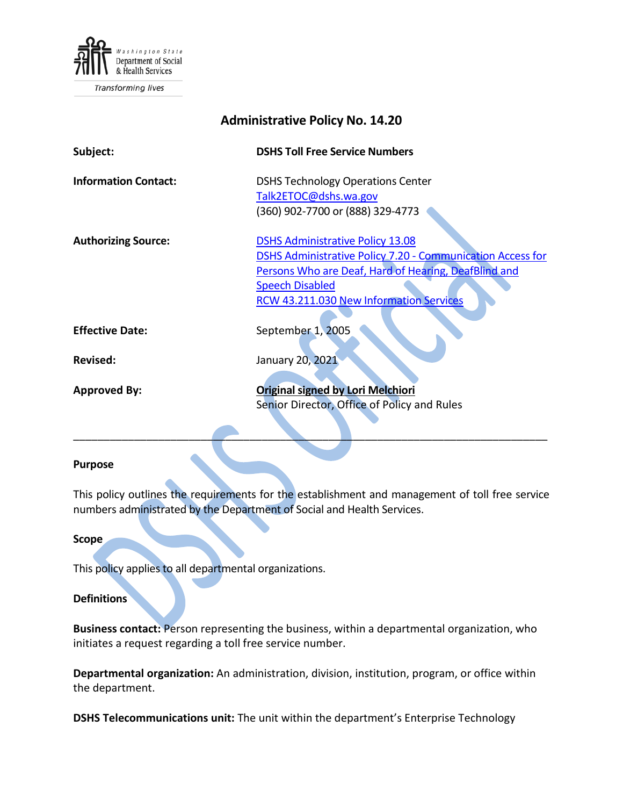

Transforming lives

| <b>Administrative Policy No. 14.20</b> |                                                                                                              |
|----------------------------------------|--------------------------------------------------------------------------------------------------------------|
| Subject:                               | <b>DSHS Toll Free Service Numbers</b>                                                                        |
| <b>Information Contact:</b>            | <b>DSHS Technology Operations Center</b><br>Talk2ETOC@dshs.wa.gov                                            |
|                                        | (360) 902-7700 or (888) 329-4773                                                                             |
| <b>Authorizing Source:</b>             | <b>DSHS Administrative Policy 13.08</b><br><b>DSHS Administrative Policy 7.20 - Communication Access for</b> |
|                                        | Persons Who are Deaf, Hard of Hearing, DeafBlind and                                                         |
|                                        | <b>Speech Disabled</b>                                                                                       |
|                                        | <b>RCW 43.211.030 New Information Services</b>                                                               |
| <b>Effective Date:</b>                 | September 1, 2005                                                                                            |
| <b>Revised:</b>                        | January 20, 2021                                                                                             |
| <b>Approved By:</b>                    | <b>Original signed by Lori Melchiori</b>                                                                     |
|                                        | Senior Director, Office of Policy and Rules                                                                  |
|                                        |                                                                                                              |

### **Purpose**

This policy outlines the requirements for the establishment and management of toll free service numbers administrated by the Department of Social and Health Services.

 $\frac{1}{2}$  ,  $\frac{1}{2}$  ,  $\frac{1}{2}$  ,  $\frac{1}{2}$  ,  $\frac{1}{2}$  ,  $\frac{1}{2}$  ,  $\frac{1}{2}$  ,  $\frac{1}{2}$  ,  $\frac{1}{2}$  ,  $\frac{1}{2}$  ,  $\frac{1}{2}$  ,  $\frac{1}{2}$  ,  $\frac{1}{2}$  ,  $\frac{1}{2}$  ,  $\frac{1}{2}$  ,  $\frac{1}{2}$  ,  $\frac{1}{2}$  ,  $\frac{1}{2}$  ,  $\frac{1$ 

#### **Scope**

This policy applies to all departmental organizations.

### **Definitions**

**Business contact:** Person representing the business, within a departmental organization, who initiates a request regarding a toll free service number.

**Departmental organization:** An administration, division, institution, program, or office within the department.

**DSHS Telecommunications unit:** The unit within the department's Enterprise Technology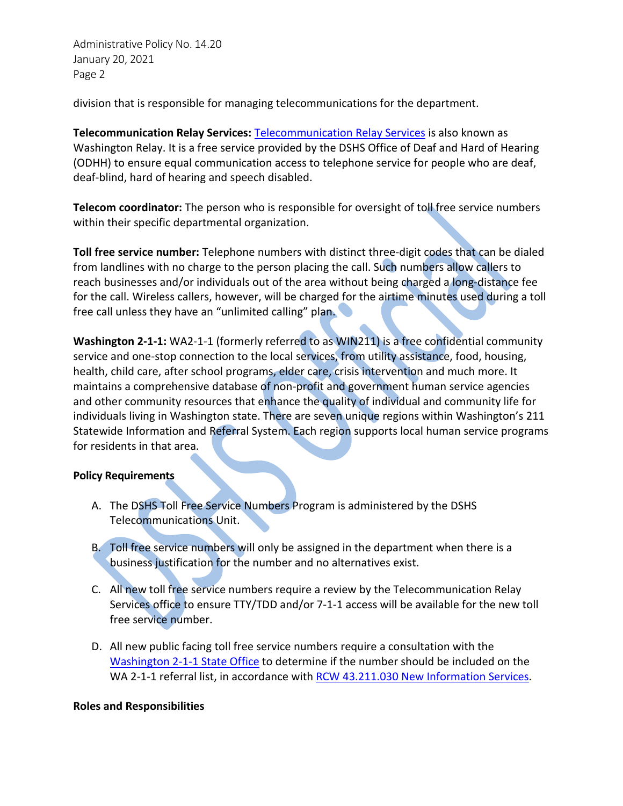Administrative Policy No. 14.20 January 20, 2021 Page 2

division that is responsible for managing telecommunications for the department.

**Telecommunication Relay Services:** [Telecommunication Relay Services](mailto:https://www.dshs.wa.gov/altsa/odhh/telecommunication-relay-services) is also known as Washington Relay. It is a free service provided by the DSHS Office of Deaf and Hard of Hearing (ODHH) to ensure equal communication access to telephone service for people who are deaf, deaf-blind, hard of hearing and speech disabled.

**Telecom coordinator:** The person who is responsible for oversight of toll free service numbers within their specific departmental organization.

**Toll free service number:** Telephone numbers with distinct three-digit codes that can be dialed from landlines with no charge to the person placing the call. Such numbers allow callers to reach businesses and/or individuals out of the area without being charged a long-distance fee for the call. Wireless callers, however, will be charged for the airtime minutes used during a toll free call unless they have an "unlimited calling" plan.

**Washington 2-1-1:** WA2-1-1 (formerly referred to as WIN211) is a free confidential community service and one-stop connection to the local services, from utility assistance, food, housing, health, child care, after school programs, elder care, crisis intervention and much more. It maintains a comprehensive database of non-profit and government human service agencies and other community resources that enhance the quality of individual and community life for individuals living in Washington state. There are seven unique regions within Washington's 211 Statewide Information and Referral System. Each region supports local human service programs for residents in that area.

# **Policy Requirements**

- A. The DSHS Toll Free Service Numbers Program is administered by the DSHS Telecommunications Unit.
- B. Toll free service numbers will only be assigned in the department when there is a business justification for the number and no alternatives exist.
- C. All new toll free service numbers require a review by the Telecommunication Relay Services office to ensure TTY/TDD and/or 7-1-1 access will be available for the new toll free service number.
- D. All new public facing toll free service numbers require a consultation with the [Washington 2-1-1 State Office](https://wa211.org/) to determine if the number should be included on the WA 2-1-1 referral list, in accordance with [RCW 43.211.030 New Information Services.](http://app.leg.wa.gov/rcw/default.aspx?cite=43.211.030)

# **Roles and Responsibilities**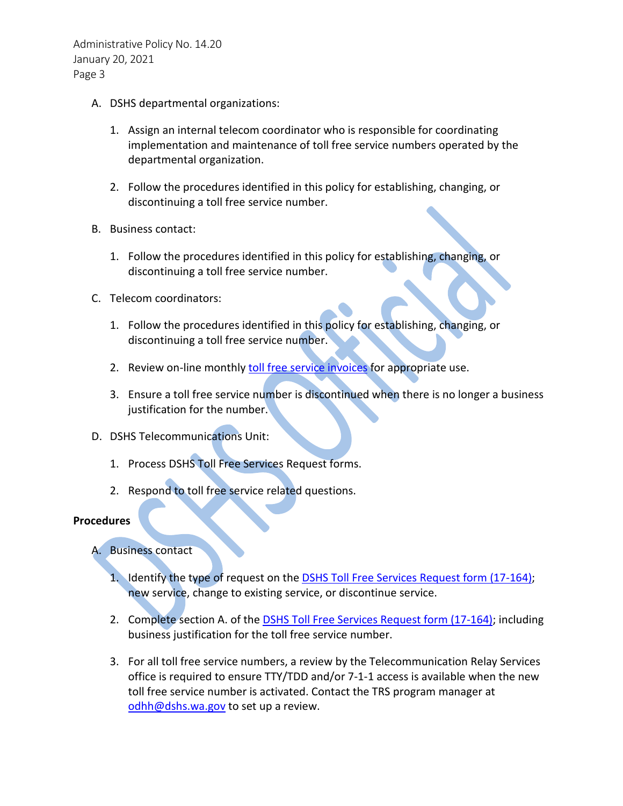Administrative Policy No. 14.20 January 20, 2021 Page 3

- A. DSHS departmental organizations:
	- 1. Assign an internal telecom coordinator who is responsible for coordinating implementation and maintenance of toll free service numbers operated by the departmental organization.
	- 2. Follow the procedures identified in this policy for establishing, changing, or discontinuing a toll free service number.
- B. Business contact:
	- 1. Follow the procedures identified in this policy for establishing, changing, or discontinuing a toll free service number.
- C. Telecom coordinators:
	- 1. Follow the procedures identified in this policy for establishing, changing, or discontinuing a toll free service number.
	- 2. Review on-line monthly [toll free service invoices](http://tollfreebilling.dshs.wa.lcl/) for appropriate use.
	- 3. Ensure a toll free service number is discontinued when there is no longer a business justification for the number.
- D. DSHS Telecommunications Unit:
	- 1. Process DSHS Toll Free Services Request forms.
	- 2. Respond to toll free service related questions.

# **Procedures**

- A. Business contact
	- 1. Identify the type of request on the [DSHS Toll Free Services Request form \(17-164\);](http://forms.dshs.wa.lcl/formDetails.aspx?ID=6375) new service, change to existing service, or discontinue service.
	- 2. Complete section A. of the **DSHS Toll Free Services Request form (17-164)**; including business justification for the toll free service number.
	- 3. For all toll free service numbers, a review by the Telecommunication Relay Services office is required to ensure TTY/TDD and/or 7-1-1 access is available when the new toll free service number is activated. Contact the TRS program manager at [odhh@dshs.wa.gov](mailto:odhh@dshs.wa.gov) to set up a review.